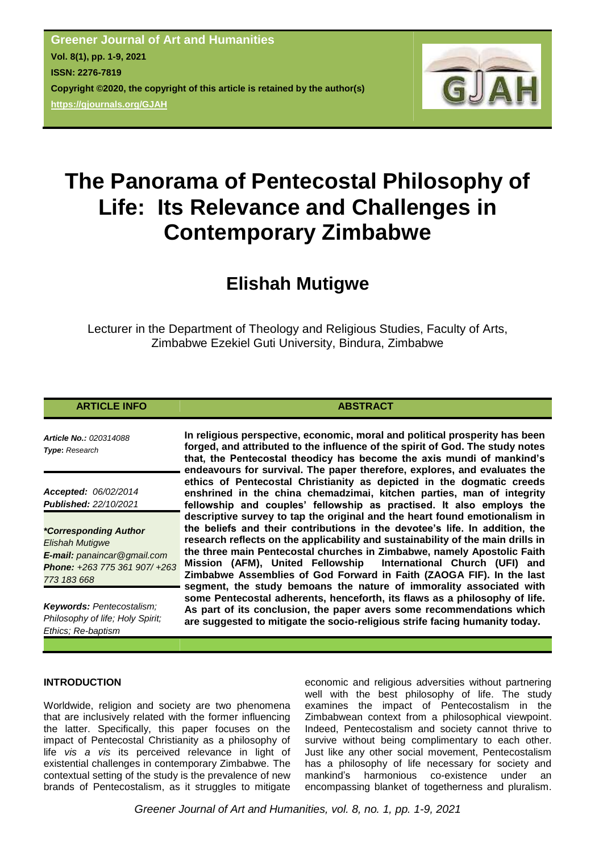

# **The Panorama of Pentecostal Philosophy of Life: Its Relevance and Challenges in Contemporary Zimbabwe**

# **Elishah Mutigwe**

Lecturer in the Department of Theology and Religious Studies, Faculty of Arts, Zimbabwe Ezekiel Guti University, Bindura, Zimbabwe

# **ARTICLE INFO ABSTRACT**

*Article No.: 020314088 Type***:** *Research*

*Accepted: 06/02/2014 Published: 22/10/2021*

*\*Corresponding Author Elishah Mutigwe E-mail: panaincar@gmail.com Phone: +263 775 361 907/ +263 773 183 668*

*Keywords: Pentecostalism; Philosophy of life; Holy Spirit; Ethics; Re-baptism*

**In religious perspective, economic, moral and political prosperity has been forged, and attributed to the influence of the spirit of God. The study notes that, the Pentecostal theodicy has become the axis mundi of mankind's endeavours for survival. The paper therefore, explores, and evaluates the ethics of Pentecostal Christianity as depicted in the dogmatic creeds enshrined in the china chemadzimai, kitchen parties, man of integrity fellowship and couples' fellowship as practised. It also employs the descriptive survey to tap the original and the heart found emotionalism in the beliefs and their contributions in the devotee's life. In addition, the research reflects on the applicability and sustainability of the main drills in the three main Pentecostal churches in Zimbabwe, namely Apostolic Faith Mission (AFM), United Fellowship Zimbabwe Assemblies of God Forward in Faith (ZAOGA FIF). In the last segment, the study bemoans the nature of immorality associated with some Pentecostal adherents, henceforth, its flaws as a philosophy of life. As part of its conclusion, the paper avers some recommendations which are suggested to mitigate the socio-religious strife facing humanity today.**

# **INTRODUCTION**

Worldwide, religion and society are two phenomena that are inclusively related with the former influencing the latter. Specifically, this paper focuses on the impact of Pentecostal Christianity as a philosophy of life *vis a vis* its perceived relevance in light of existential challenges in contemporary Zimbabwe. The contextual setting of the study is the prevalence of new brands of Pentecostalism, as it struggles to mitigate

economic and religious adversities without partnering well with the best philosophy of life. The study examines the impact of Pentecostalism in the Zimbabwean context from a philosophical viewpoint. Indeed, Pentecostalism and society cannot thrive to survive without being complimentary to each other. Just like any other social movement, Pentecostalism has a philosophy of life necessary for society and mankind"s harmonious co-existence under an encompassing blanket of togetherness and pluralism.

*Greener Journal of Art and Humanities, vol. 8, no. 1, pp. 1-9, 2021*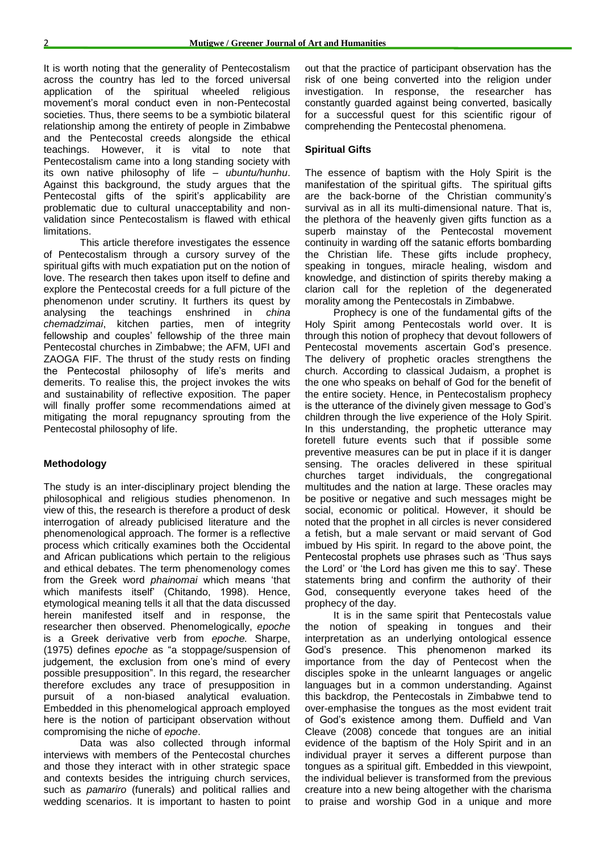It is worth noting that the generality of Pentecostalism across the country has led to the forced universal application of the spiritual wheeled religious movement"s moral conduct even in non-Pentecostal societies. Thus, there seems to be a symbiotic bilateral relationship among the entirety of people in Zimbabwe and the Pentecostal creeds alongside the ethical teachings. However, it is vital to note that Pentecostalism came into a long standing society with its own native philosophy of life – *ubuntu/hunhu*. Against this background, the study argues that the Pentecostal gifts of the spirit's applicability are problematic due to cultural unacceptability and nonvalidation since Pentecostalism is flawed with ethical limitations.

This article therefore investigates the essence of Pentecostalism through a cursory survey of the spiritual gifts with much expatiation put on the notion of love. The research then takes upon itself to define and explore the Pentecostal creeds for a full picture of the phenomenon under scrutiny. It furthers its quest by analysing the teachings enshrined in *china chemadzimai*, kitchen parties, men of integrity fellowship and couples' fellowship of the three main Pentecostal churches in Zimbabwe; the AFM, UFI and ZAOGA FIF. The thrust of the study rests on finding the Pentecostal philosophy of life"s merits and demerits. To realise this, the project invokes the wits and sustainability of reflective exposition. The paper will finally proffer some recommendations aimed at mitigating the moral repugnancy sprouting from the Pentecostal philosophy of life.

# **Methodology**

The study is an inter-disciplinary project blending the philosophical and religious studies phenomenon. In view of this, the research is therefore a product of desk interrogation of already publicised literature and the phenomenological approach. The former is a reflective process which critically examines both the Occidental and African publications which pertain to the religious and ethical debates. The term phenomenology comes from the Greek word *phainomai* which means "that which manifests itself' (Chitando, 1998). Hence, etymological meaning tells it all that the data discussed herein manifested itself and in response, the researcher then observed. Phenomelogically, *epoche* is a Greek derivative verb from *epoche.* Sharpe, (1975) defines *epoche* as "a stoppage/suspension of judgement, the exclusion from one's mind of every possible presupposition". In this regard, the researcher therefore excludes any trace of presupposition in pursuit of a non-biased analytical evaluation. Embedded in this phenomelogical approach employed here is the notion of participant observation without compromising the niche of *epoche*.

Data was also collected through informal interviews with members of the Pentecostal churches and those they interact with in other strategic space and contexts besides the intriguing church services, such as *pamariro* (funerals) and political rallies and wedding scenarios. It is important to hasten to point

out that the practice of participant observation has the risk of one being converted into the religion under investigation. In response, the researcher has constantly guarded against being converted, basically for a successful quest for this scientific rigour of comprehending the Pentecostal phenomena.

#### **Spiritual Gifts**

The essence of baptism with the Holy Spirit is the manifestation of the spiritual gifts. The spiritual gifts are the back-borne of the Christian community"s survival as in all its multi-dimensional nature. That is, the plethora of the heavenly given gifts function as a superb mainstay of the Pentecostal movement continuity in warding off the satanic efforts bombarding the Christian life. These gifts include prophecy, speaking in tongues, miracle healing, wisdom and knowledge, and distinction of spirits thereby making a clarion call for the repletion of the degenerated morality among the Pentecostals in Zimbabwe.

Prophecy is one of the fundamental gifts of the Holy Spirit among Pentecostals world over. It is through this notion of prophecy that devout followers of Pentecostal movements ascertain God's presence. The delivery of prophetic oracles strengthens the church. According to classical Judaism, a prophet is the one who speaks on behalf of God for the benefit of the entire society. Hence, in Pentecostalism prophecy is the utterance of the divinely given message to God"s children through the live experience of the Holy Spirit. In this understanding, the prophetic utterance may foretell future events such that if possible some preventive measures can be put in place if it is danger sensing. The oracles delivered in these spiritual churches target individuals, the congregational multitudes and the nation at large. These oracles may be positive or negative and such messages might be social, economic or political. However, it should be noted that the prophet in all circles is never considered a fetish, but a male servant or maid servant of God imbued by His spirit. In regard to the above point, the Pentecostal prophets use phrases such as "Thus says the Lord' or 'the Lord has given me this to say'. These statements bring and confirm the authority of their God, consequently everyone takes heed of the prophecy of the day.

It is in the same spirit that Pentecostals value the notion of speaking in tongues and their interpretation as an underlying ontological essence God"s presence. This phenomenon marked its importance from the day of Pentecost when the disciples spoke in the unlearnt languages or angelic languages but in a common understanding. Against this backdrop, the Pentecostals in Zimbabwe tend to over-emphasise the tongues as the most evident trait of God"s existence among them. Duffield and Van Cleave (2008) concede that tongues are an initial evidence of the baptism of the Holy Spirit and in an individual prayer it serves a different purpose than tongues as a spiritual gift. Embedded in this viewpoint, the individual believer is transformed from the previous creature into a new being altogether with the charisma to praise and worship God in a unique and more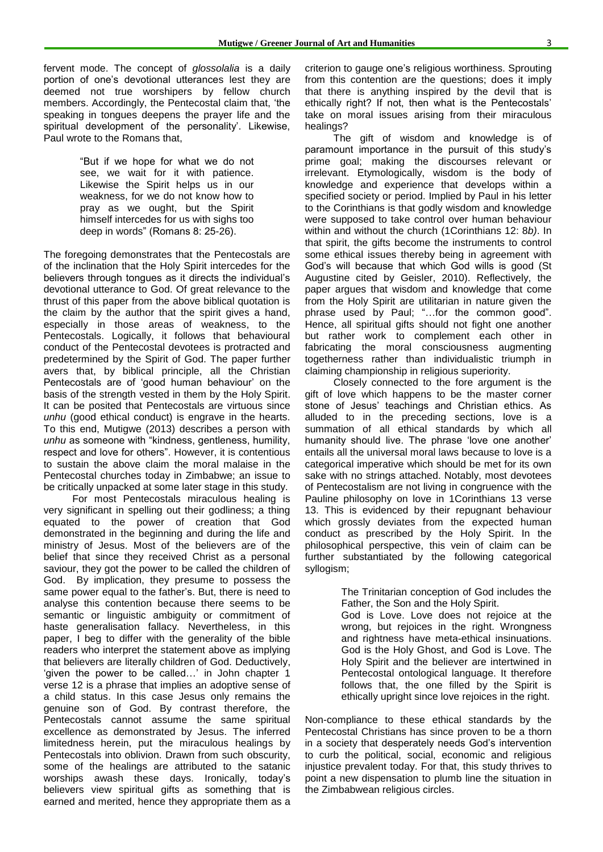fervent mode. The concept of *glossolalia* is a daily portion of one"s devotional utterances lest they are deemed not true worshipers by fellow church members. Accordingly, the Pentecostal claim that, "the speaking in tongues deepens the prayer life and the spiritual development of the personality'. Likewise, Paul wrote to the Romans that,

> "But if we hope for what we do not see, we wait for it with patience. Likewise the Spirit helps us in our weakness, for we do not know how to pray as we ought, but the Spirit himself intercedes for us with sighs too deep in words" (Romans 8: 25-26).

The foregoing demonstrates that the Pentecostals are of the inclination that the Holy Spirit intercedes for the believers through tongues as it directs the individual"s devotional utterance to God. Of great relevance to the thrust of this paper from the above biblical quotation is the claim by the author that the spirit gives a hand, especially in those areas of weakness, to the Pentecostals. Logically, it follows that behavioural conduct of the Pentecostal devotees is protracted and predetermined by the Spirit of God. The paper further avers that, by biblical principle, all the Christian Pentecostals are of 'good human behaviour' on the basis of the strength vested in them by the Holy Spirit. It can be posited that Pentecostals are virtuous since *unhu* (good ethical conduct) is engrave in the hearts. To this end, Mutigwe (2013) describes a person with *unhu* as someone with "kindness, gentleness, humility, respect and love for others". However, it is contentious to sustain the above claim the moral malaise in the Pentecostal churches today in Zimbabwe; an issue to be critically unpacked at some later stage in this study.

For most Pentecostals miraculous healing is very significant in spelling out their godliness; a thing equated to the power of creation that God demonstrated in the beginning and during the life and ministry of Jesus. Most of the believers are of the belief that since they received Christ as a personal saviour, they got the power to be called the children of God. By implication, they presume to possess the same power equal to the father's. But, there is need to analyse this contention because there seems to be semantic or linguistic ambiguity or commitment of haste generalisation fallacy. Nevertheless, in this paper, I beg to differ with the generality of the bible readers who interpret the statement above as implying that believers are literally children of God. Deductively, 'aiven the power to be called...' in John chapter 1 verse 12 is a phrase that implies an adoptive sense of a child status. In this case Jesus only remains the genuine son of God. By contrast therefore, the Pentecostals cannot assume the same spiritual excellence as demonstrated by Jesus. The inferred limitedness herein, put the miraculous healings by Pentecostals into oblivion. Drawn from such obscurity, some of the healings are attributed to the satanic worships awash these days. Ironically, today"s believers view spiritual gifts as something that is earned and merited, hence they appropriate them as a

criterion to gauge one"s religious worthiness. Sprouting from this contention are the questions; does it imply that there is anything inspired by the devil that is ethically right? If not, then what is the Pentecostals" take on moral issues arising from their miraculous healings?

The gift of wisdom and knowledge is of paramount importance in the pursuit of this study"s prime goal; making the discourses relevant or irrelevant. Etymologically, wisdom is the body of knowledge and experience that develops within a specified society or period. Implied by Paul in his letter to the Corinthians is that godly wisdom and knowledge were supposed to take control over human behaviour within and without the church (1Corinthians 12: 8*b)*. In that spirit, the gifts become the instruments to control some ethical issues thereby being in agreement with God"s will because that which God wills is good (St Augustine cited by Geisler, 2010). Reflectively, the paper argues that wisdom and knowledge that come from the Holy Spirit are utilitarian in nature given the phrase used by Paul; "...for the common good". Hence, all spiritual gifts should not fight one another but rather work to complement each other in fabricating the moral consciousness augmenting togetherness rather than individualistic triumph in claiming championship in religious superiority.

Closely connected to the fore argument is the gift of love which happens to be the master corner stone of Jesus" teachings and Christian ethics. As alluded to in the preceding sections, love is a summation of all ethical standards by which all humanity should live. The phrase "love one another" entails all the universal moral laws because to love is a categorical imperative which should be met for its own sake with no strings attached. Notably, most devotees of Pentecostalism are not living in congruence with the Pauline philosophy on love in 1Corinthians 13 verse 13. This is evidenced by their repugnant behaviour which grossly deviates from the expected human conduct as prescribed by the Holy Spirit. In the philosophical perspective, this vein of claim can be further substantiated by the following categorical syllogism;

> The Trinitarian conception of God includes the Father, the Son and the Holy Spirit. God is Love. Love does not rejoice at the wrong, but rejoices in the right. Wrongness and rightness have meta-ethical insinuations. God is the Holy Ghost, and God is Love. The Holy Spirit and the believer are intertwined in Pentecostal ontological language. It therefore follows that, the one filled by the Spirit is ethically upright since love rejoices in the right.

Non-compliance to these ethical standards by the Pentecostal Christians has since proven to be a thorn in a society that desperately needs God's intervention to curb the political, social, economic and religious injustice prevalent today. For that, this study thrives to point a new dispensation to plumb line the situation in the Zimbabwean religious circles.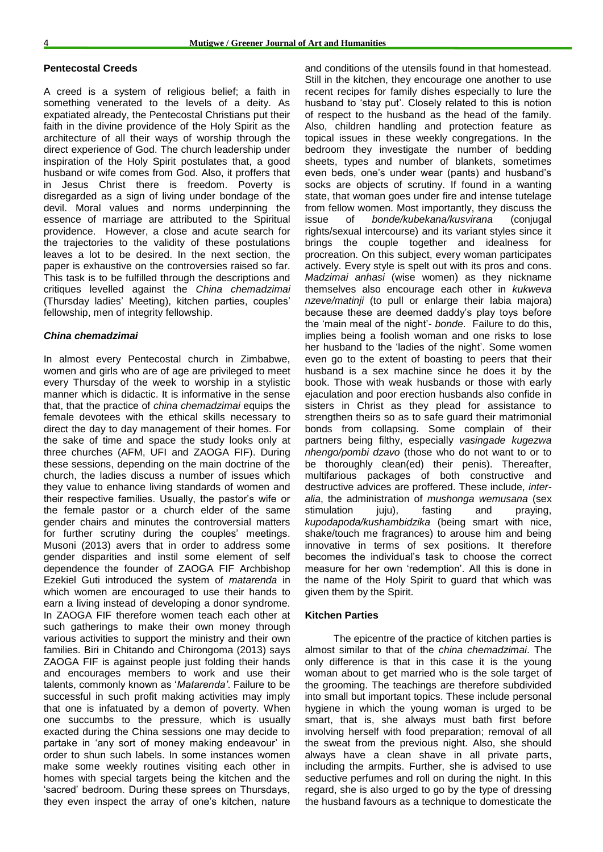#### **Pentecostal Creeds**

A creed is a system of religious belief; a faith in something venerated to the levels of a deity. As expatiated already, the Pentecostal Christians put their faith in the divine providence of the Holy Spirit as the architecture of all their ways of worship through the direct experience of God. The church leadership under inspiration of the Holy Spirit postulates that, a good husband or wife comes from God. Also, it proffers that in Jesus Christ there is freedom. Poverty is disregarded as a sign of living under bondage of the devil. Moral values and norms underpinning the essence of marriage are attributed to the Spiritual providence. However, a close and acute search for the trajectories to the validity of these postulations leaves a lot to be desired. In the next section, the paper is exhaustive on the controversies raised so far. This task is to be fulfilled through the descriptions and critiques levelled against the *China chemadzimai* (Thursday ladies" Meeting), kitchen parties, couples" fellowship, men of integrity fellowship.

#### *China chemadzimai*

In almost every Pentecostal church in Zimbabwe, women and girls who are of age are privileged to meet every Thursday of the week to worship in a stylistic manner which is didactic. It is informative in the sense that, that the practice of *china chemadzimai* equips the female devotees with the ethical skills necessary to direct the day to day management of their homes. For the sake of time and space the study looks only at three churches (AFM, UFI and ZAOGA FIF). During these sessions, depending on the main doctrine of the church, the ladies discuss a number of issues which they value to enhance living standards of women and their respective families. Usually, the pastor's wife or the female pastor or a church elder of the same gender chairs and minutes the controversial matters for further scrutiny during the couples' meetings. Musoni (2013) avers that in order to address some gender disparities and instil some element of self dependence the founder of ZAOGA FIF Archbishop Ezekiel Guti introduced the system of *matarenda* in which women are encouraged to use their hands to earn a living instead of developing a donor syndrome. In ZAOGA FIF therefore women teach each other at such gatherings to make their own money through various activities to support the ministry and their own families. Biri in Chitando and Chirongoma (2013) says ZAOGA FIF is against people just folding their hands and encourages members to work and use their talents, commonly known as "*Matarenda"*. Failure to be successful in such profit making activities may imply that one is infatuated by a demon of poverty. When one succumbs to the pressure, which is usually exacted during the China sessions one may decide to partake in 'any sort of money making endeavour' in order to shun such labels. In some instances women make some weekly routines visiting each other in homes with special targets being the kitchen and the 'sacred' bedroom. During these sprees on Thursdays, they even inspect the array of one"s kitchen, nature

and conditions of the utensils found in that homestead. Still in the kitchen, they encourage one another to use recent recipes for family dishes especially to lure the husband to "stay put". Closely related to this is notion of respect to the husband as the head of the family. Also, children handling and protection feature as topical issues in these weekly congregations. In the bedroom they investigate the number of bedding sheets, types and number of blankets, sometimes even beds, one"s under wear (pants) and husband"s socks are objects of scrutiny. If found in a wanting state, that woman goes under fire and intense tutelage from fellow women. Most importantly, they discuss the issue of *bonde/kubekana/kusvirana* (conjugal rights/sexual intercourse) and its variant styles since it brings the couple together and idealness for procreation. On this subject, every woman participates actively. Every style is spelt out with its pros and cons. *Madzimai anhasi* (wise women) as they nickname themselves also encourage each other in *kukweva nzeve/matinji* (to pull or enlarge their labia majora) because these are deemed daddy"s play toys before the "main meal of the night"- *bonde*. Failure to do this, implies being a foolish woman and one risks to lose her husband to the 'ladies of the night'. Some women even go to the extent of boasting to peers that their husband is a sex machine since he does it by the book. Those with weak husbands or those with early ejaculation and poor erection husbands also confide in sisters in Christ as they plead for assistance to strengthen theirs so as to safe guard their matrimonial bonds from collapsing. Some complain of their partners being filthy, especially *vasingade kugezwa nhengo/pombi dzavo* (those who do not want to or to be thoroughly clean(ed) their penis). Thereafter, multifarious packages of both constructive and destructive advices are proffered. These include, *interalia*, the administration of *mushonga wemusana* (sex stimulation juju), fasting and praying, *kupodapoda/kushambidzika* (being smart with nice, shake/touch me fragrances) to arouse him and being innovative in terms of sex positions. It therefore becomes the individual"s task to choose the correct measure for her own "redemption". All this is done in the name of the Holy Spirit to guard that which was given them by the Spirit.

#### **Kitchen Parties**

The epicentre of the practice of kitchen parties is almost similar to that of the *china chemadzimai*. The only difference is that in this case it is the young woman about to get married who is the sole target of the grooming. The teachings are therefore subdivided into small but important topics. These include personal hygiene in which the young woman is urged to be smart, that is, she always must bath first before involving herself with food preparation; removal of all the sweat from the previous night. Also, she should always have a clean shave in all private parts, including the armpits. Further, she is advised to use seductive perfumes and roll on during the night. In this regard, she is also urged to go by the type of dressing the husband favours as a technique to domesticate the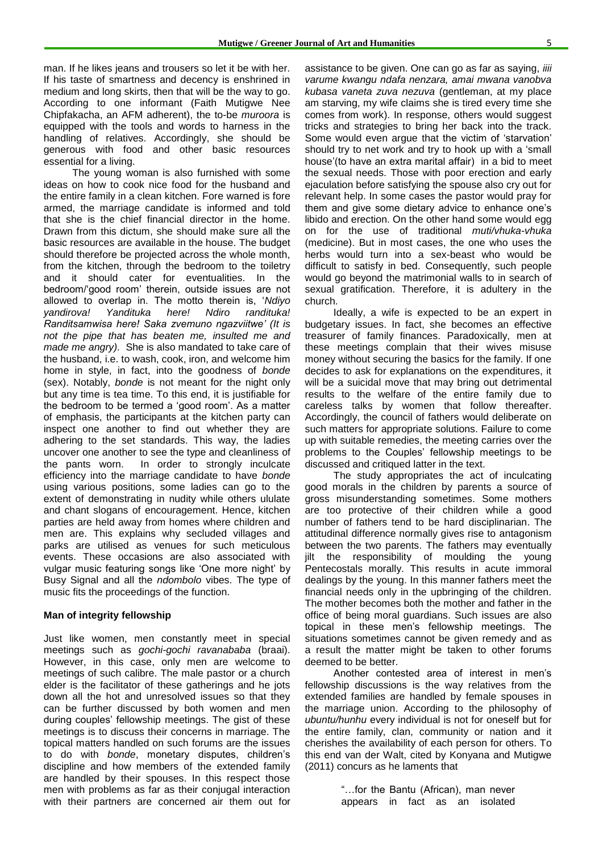man. If he likes jeans and trousers so let it be with her. If his taste of smartness and decency is enshrined in medium and long skirts, then that will be the way to go. According to one informant (Faith Mutigwe Nee Chipfakacha, an AFM adherent), the to-be *muroora* is equipped with the tools and words to harness in the handling of relatives. Accordingly, she should be generous with food and other basic resources essential for a living.

The young woman is also furnished with some ideas on how to cook nice food for the husband and the entire family in a clean kitchen. Fore warned is fore armed, the marriage candidate is informed and told that she is the chief financial director in the home. Drawn from this dictum, she should make sure all the basic resources are available in the house. The budget should therefore be projected across the whole month, from the kitchen, through the bedroom to the toiletry and it should cater for eventualities. In the bedroom/"good room" therein, outside issues are not allowed to overlap in. The motto therein is, "*Ndiyo yandirova! Yandituka here! Ndiro randituka! Randitsamwisa here! Saka zvemuno ngazviitwe" (It is not the pipe that has beaten me, insulted me and made me angry).* She is also mandated to take care of the husband, i.e. to wash, cook, iron, and welcome him home in style, in fact, into the goodness of *bonde*  (sex). Notably, *bonde* is not meant for the night only but any time is tea time. To this end, it is justifiable for the bedroom to be termed a "good room". As a matter of emphasis, the participants at the kitchen party can inspect one another to find out whether they are adhering to the set standards. This way, the ladies uncover one another to see the type and cleanliness of the pants worn. In order to strongly inculcate efficiency into the marriage candidate to have *bonde* using various positions, some ladies can go to the extent of demonstrating in nudity while others ululate and chant slogans of encouragement. Hence, kitchen parties are held away from homes where children and men are. This explains why secluded villages and parks are utilised as venues for such meticulous events. These occasions are also associated with vulgar music featuring songs like "One more night" by Busy Signal and all the *ndombolo* vibes. The type of music fits the proceedings of the function.

#### **Man of integrity fellowship**

Just like women, men constantly meet in special meetings such as *gochi-gochi ravanababa* (braai). However, in this case, only men are welcome to meetings of such calibre. The male pastor or a church elder is the facilitator of these gatherings and he jots down all the hot and unresolved issues so that they can be further discussed by both women and men during couples" fellowship meetings. The gist of these meetings is to discuss their concerns in marriage. The topical matters handled on such forums are the issues to do with *bonde*, monetary disputes, children"s discipline and how members of the extended family are handled by their spouses. In this respect those men with problems as far as their conjugal interaction with their partners are concerned air them out for

assistance to be given. One can go as far as saying, *iiii varume kwangu ndafa nenzara, amai mwana vanobva kubasa vaneta zuva nezuva* (gentleman, at my place am starving, my wife claims she is tired every time she comes from work). In response, others would suggest tricks and strategies to bring her back into the track. Some would even argue that the victim of "starvation" should try to net work and try to hook up with a "small house"(to have an extra marital affair) in a bid to meet the sexual needs. Those with poor erection and early ejaculation before satisfying the spouse also cry out for relevant help. In some cases the pastor would pray for them and give some dietary advice to enhance one"s libido and erection. On the other hand some would egg on for the use of traditional *muti/vhuka-vhuka* (medicine). But in most cases, the one who uses the herbs would turn into a sex-beast who would be difficult to satisfy in bed. Consequently, such people would go beyond the matrimonial walls to in search of sexual gratification. Therefore, it is adultery in the church.

Ideally, a wife is expected to be an expert in budgetary issues. In fact, she becomes an effective treasurer of family finances. Paradoxically, men at these meetings complain that their wives misuse money without securing the basics for the family. If one decides to ask for explanations on the expenditures, it will be a suicidal move that may bring out detrimental results to the welfare of the entire family due to careless talks by women that follow thereafter. Accordingly, the council of fathers would deliberate on such matters for appropriate solutions. Failure to come up with suitable remedies, the meeting carries over the problems to the Couples" fellowship meetings to be discussed and critiqued latter in the text.

The study appropriates the act of inculcating good morals in the children by parents a source of gross misunderstanding sometimes. Some mothers are too protective of their children while a good number of fathers tend to be hard disciplinarian. The attitudinal difference normally gives rise to antagonism between the two parents. The fathers may eventually jilt the responsibility of moulding the young Pentecostals morally. This results in acute immoral dealings by the young. In this manner fathers meet the financial needs only in the upbringing of the children. The mother becomes both the mother and father in the office of being moral guardians. Such issues are also topical in these men"s fellowship meetings. The situations sometimes cannot be given remedy and as a result the matter might be taken to other forums deemed to be better.

Another contested area of interest in men"s fellowship discussions is the way relatives from the extended families are handled by female spouses in the marriage union. According to the philosophy of *ubuntu/hunhu* every individual is not for oneself but for the entire family, clan, community or nation and it cherishes the availability of each person for others. To this end van der Walt, cited by Konyana and Mutigwe (2011) concurs as he laments that

> "…for the Bantu (African), man never appears in fact as an isolated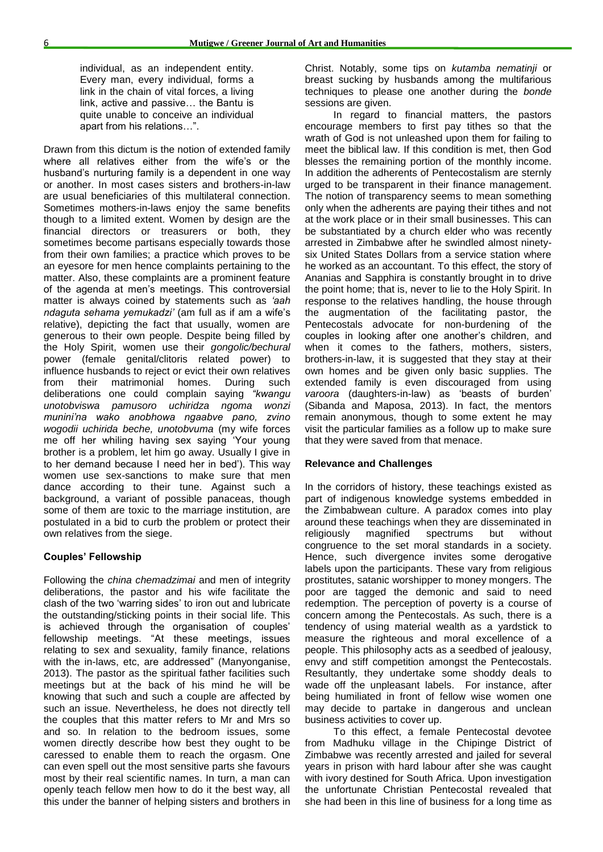individual, as an independent entity. Every man, every individual, forms a link in the chain of vital forces, a living link, active and passive… the Bantu is quite unable to conceive an individual apart from his relations…".

Drawn from this dictum is the notion of extended family where all relatives either from the wife's or the husband"s nurturing family is a dependent in one way or another. In most cases sisters and brothers-in-law are usual beneficiaries of this multilateral connection. Sometimes mothers-in-laws enjoy the same benefits though to a limited extent. Women by design are the financial directors or treasurers or both, they sometimes become partisans especially towards those from their own families; a practice which proves to be an eyesore for men hence complaints pertaining to the matter. Also, these complaints are a prominent feature of the agenda at men"s meetings. This controversial matter is always coined by statements such as *"aah ndaguta sehama yemukadzi"* (am full as if am a wife"s relative), depicting the fact that usually, women are generous to their own people. Despite being filled by the Holy Spirit, women use their *gongolic/bechural* power (female genital/clitoris related power) to influence husbands to reject or evict their own relatives from their matrimonial homes. During such deliberations one could complain saying *"kwangu unotobviswa pamusoro uchiridza ngoma wonzi munini"na wako anobhowa ngaabve pano, zvino wogodii uchirida beche, unotobvuma* (my wife forces me off her whiling having sex saying "Your young brother is a problem, let him go away. Usually I give in to her demand because I need her in bed"). This way women use sex-sanctions to make sure that men dance according to their tune. Against such a background, a variant of possible panaceas, though some of them are toxic to the marriage institution, are postulated in a bid to curb the problem or protect their own relatives from the siege.

#### **Couples' Fellowship**

Following the *china chemadzimai* and men of integrity deliberations, the pastor and his wife facilitate the clash of the two "warring sides" to iron out and lubricate the outstanding/sticking points in their social life. This is achieved through the organisation of couples' fellowship meetings. "At these meetings, issues relating to sex and sexuality, family finance, relations with the in-laws, etc, are addressed" (Manyonganise, 2013). The pastor as the spiritual father facilities such meetings but at the back of his mind he will be knowing that such and such a couple are affected by such an issue. Nevertheless, he does not directly tell the couples that this matter refers to Mr and Mrs so and so. In relation to the bedroom issues, some women directly describe how best they ought to be caressed to enable them to reach the orgasm. One can even spell out the most sensitive parts she favours most by their real scientific names. In turn, a man can openly teach fellow men how to do it the best way, all this under the banner of helping sisters and brothers in

Christ. Notably, some tips on *kutamba nematinji* or breast sucking by husbands among the multifarious techniques to please one another during the *bonde*  sessions are given.

In regard to financial matters, the pastors encourage members to first pay tithes so that the wrath of God is not unleashed upon them for failing to meet the biblical law. If this condition is met, then God blesses the remaining portion of the monthly income. In addition the adherents of Pentecostalism are sternly urged to be transparent in their finance management. The notion of transparency seems to mean something only when the adherents are paying their tithes and not at the work place or in their small businesses. This can be substantiated by a church elder who was recently arrested in Zimbabwe after he swindled almost ninetysix United States Dollars from a service station where he worked as an accountant. To this effect, the story of Ananias and Sapphira is constantly brought in to drive the point home; that is, never to lie to the Holy Spirit. In response to the relatives handling, the house through the augmentation of the facilitating pastor, the Pentecostals advocate for non-burdening of the couples in looking after one another"s children, and when it comes to the fathers, mothers, sisters, brothers-in-law, it is suggested that they stay at their own homes and be given only basic supplies. The extended family is even discouraged from using *varoora* (daughters-in-law) as "beasts of burden" (Sibanda and Maposa, 2013). In fact, the mentors remain anonymous, though to some extent he may visit the particular families as a follow up to make sure that they were saved from that menace.

#### **Relevance and Challenges**

In the corridors of history, these teachings existed as part of indigenous knowledge systems embedded in the Zimbabwean culture. A paradox comes into play around these teachings when they are disseminated in religiously magnified spectrums but without congruence to the set moral standards in a society. Hence, such divergence invites some derogative labels upon the participants. These vary from religious prostitutes, satanic worshipper to money mongers. The poor are tagged the demonic and said to need redemption. The perception of poverty is a course of concern among the Pentecostals. As such, there is a tendency of using material wealth as a yardstick to measure the righteous and moral excellence of a people. This philosophy acts as a seedbed of jealousy, envy and stiff competition amongst the Pentecostals. Resultantly, they undertake some shoddy deals to wade off the unpleasant labels. For instance, after being humiliated in front of fellow wise women one may decide to partake in dangerous and unclean business activities to cover up.

To this effect, a female Pentecostal devotee from Madhuku village in the Chipinge District of Zimbabwe was recently arrested and jailed for several years in prison with hard labour after she was caught with ivory destined for South Africa. Upon investigation the unfortunate Christian Pentecostal revealed that she had been in this line of business for a long time as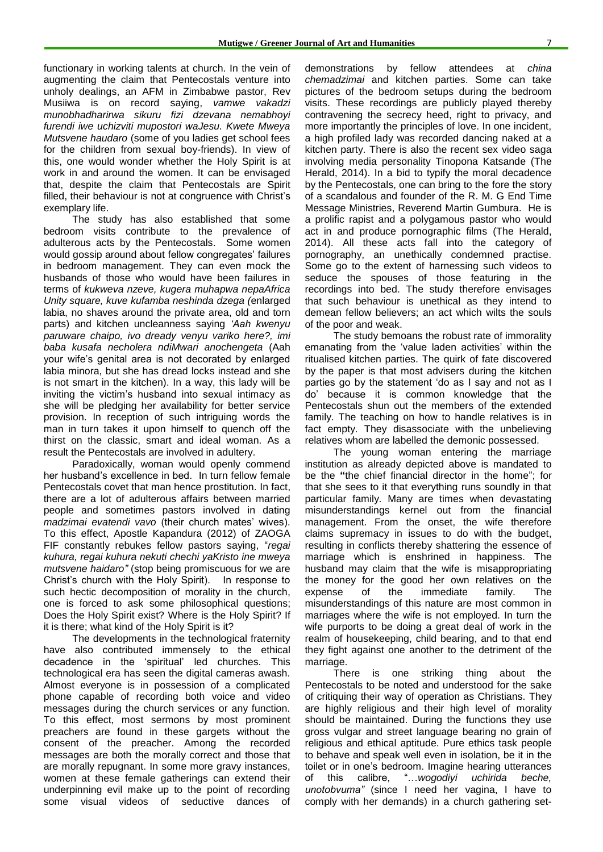functionary in working talents at church. In the vein of augmenting the claim that Pentecostals venture into unholy dealings, an AFM in Zimbabwe pastor, Rev Musiiwa is on record saying, *vamwe vakadzi munobhadharirwa sikuru fizi dzevana nemabhoyi furendi iwe uchizviti mupostori waJesu. Kwete Mweya Mutsvene haudaro* (some of you ladies get school fees for the children from sexual boy-friends). In view of this, one would wonder whether the Holy Spirit is at work in and around the women. It can be envisaged that, despite the claim that Pentecostals are Spirit filled, their behaviour is not at congruence with Christ's exemplary life.

The study has also established that some bedroom visits contribute to the prevalence of adulterous acts by the Pentecostals. Some women would gossip around about fellow congregates' failures in bedroom management. They can even mock the husbands of those who would have been failures in terms of *kukweva nzeve, kugera muhapwa nepaAfrica Unity square, kuve kufamba neshinda dzega (*enlarged labia, no shaves around the private area, old and torn parts) and kitchen uncleanness saying *"Aah kwenyu paruware chaipo, ivo dready venyu variko here?, imi baba kusafa necholera ndiMwari anochengeta* (Aah your wife"s genital area is not decorated by enlarged labia minora, but she has dread locks instead and she is not smart in the kitchen). In a way, this lady will be inviting the victim"s husband into sexual intimacy as she will be pledging her availability for better service provision. In reception of such intriguing words the man in turn takes it upon himself to quench off the thirst on the classic, smart and ideal woman. As a result the Pentecostals are involved in adultery.

Paradoxically, woman would openly commend her husband"s excellence in bed. In turn fellow female Pentecostals covet that man hence prostitution. In fact, there are a lot of adulterous affairs between married people and sometimes pastors involved in dating *madzimai evatendi vavo* (their church mates' wives). To this effect, Apostle Kapandura (2012) of ZAOGA FIF constantly rebukes fellow pastors saying, "*regai kuhura, regai kuhura nekuti chechi yaKristo ine mweya mutsvene haidaro"* (stop being promiscuous for we are Christ"s church with the Holy Spirit). In response to such hectic decomposition of morality in the church, one is forced to ask some philosophical questions; Does the Holy Spirit exist? Where is the Holy Spirit? If it is there; what kind of the Holy Spirit is it?

The developments in the technological fraternity have also contributed immensely to the ethical decadence in the "spiritual" led churches. This technological era has seen the digital cameras awash. Almost everyone is in possession of a complicated phone capable of recording both voice and video messages during the church services or any function. To this effect, most sermons by most prominent preachers are found in these gargets without the consent of the preacher. Among the recorded messages are both the morally correct and those that are morally repugnant. In some more gravy instances, women at these female gatherings can extend their underpinning evil make up to the point of recording some visual videos of seductive dances of

demonstrations by fellow attendees at *china chemadzimai* and kitchen parties. Some can take pictures of the bedroom setups during the bedroom visits. These recordings are publicly played thereby contravening the secrecy heed, right to privacy, and more importantly the principles of love. In one incident, a high profiled lady was recorded dancing naked at a kitchen party. There is also the recent sex video saga involving media personality Tinopona Katsande (The Herald, 2014). In a bid to typify the moral decadence by the Pentecostals, one can bring to the fore the story of a scandalous and founder of the R. M. G End Time Message Ministries, Reverend Martin Gumbura. He is a prolific rapist and a polygamous pastor who would act in and produce pornographic films (The Herald, 2014). All these acts fall into the category of pornography, an unethically condemned practise. Some go to the extent of harnessing such videos to seduce the spouses of those featuring in the recordings into bed. The study therefore envisages that such behaviour is unethical as they intend to demean fellow believers; an act which wilts the souls of the poor and weak.

The study bemoans the robust rate of immorality emanating from the 'value laden activities' within the ritualised kitchen parties. The quirk of fate discovered by the paper is that most advisers during the kitchen parties go by the statement 'do as I say and not as I do" because it is common knowledge that the Pentecostals shun out the members of the extended family. The teaching on how to handle relatives is in fact empty. They disassociate with the unbelieving relatives whom are labelled the demonic possessed.

The young woman entering the marriage institution as already depicted above is mandated to be the **"**the chief financial director in the home"; for that she sees to it that everything runs soundly in that particular family. Many are times when devastating misunderstandings kernel out from the financial management. From the onset, the wife therefore claims supremacy in issues to do with the budget, resulting in conflicts thereby shattering the essence of marriage which is enshrined in happiness. The husband may claim that the wife is misappropriating the money for the good her own relatives on the expense of the immediate family. The misunderstandings of this nature are most common in marriages where the wife is not employed. In turn the wife purports to be doing a great deal of work in the realm of housekeeping, child bearing, and to that end they fight against one another to the detriment of the marriage.

There is one striking thing about the Pentecostals to be noted and understood for the sake of critiquing their way of operation as Christians. They are highly religious and their high level of morality should be maintained. During the functions they use gross vulgar and street language bearing no grain of religious and ethical aptitude. Pure ethics task people to behave and speak well even in isolation, be it in the toilet or in one"s bedroom. Imagine hearing utterances of this calibre, "…*wogodiyi uchirida beche, unotobvuma"* (since I need her vagina, I have to comply with her demands) in a church gathering set-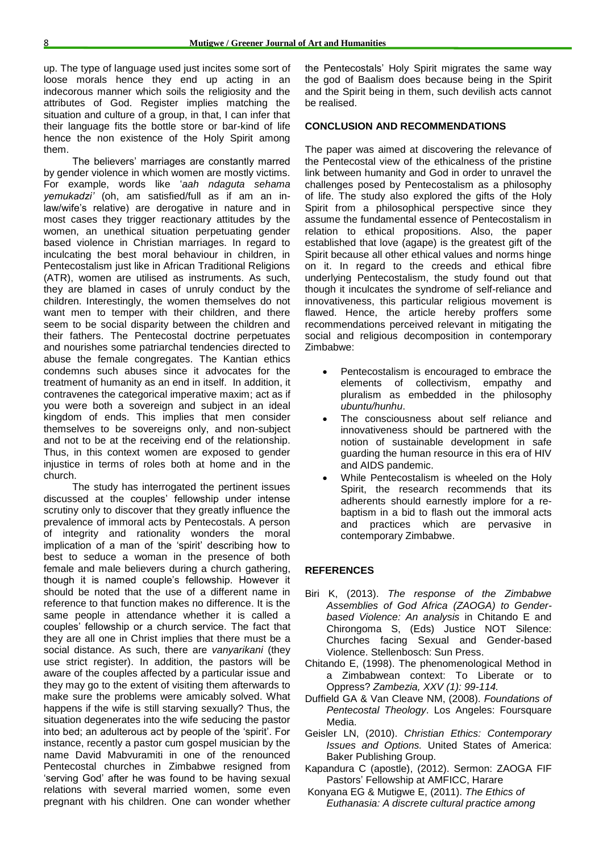up. The type of language used just incites some sort of loose morals hence they end up acting in an indecorous manner which soils the religiosity and the attributes of God. Register implies matching the situation and culture of a group, in that, I can infer that their language fits the bottle store or bar-kind of life hence the non existence of the Holy Spirit among them.

The believers' marriages are constantly marred by gender violence in which women are mostly victims. For example, words like "*aah ndaguta sehama yemukadzi"* (oh, am satisfied/full as if am an inlaw/wife's relative) are derogative in nature and in most cases they trigger reactionary attitudes by the women, an unethical situation perpetuating gender based violence in Christian marriages. In regard to inculcating the best moral behaviour in children, in Pentecostalism just like in African Traditional Religions (ATR), women are utilised as instruments. As such, they are blamed in cases of unruly conduct by the children. Interestingly, the women themselves do not want men to temper with their children, and there seem to be social disparity between the children and their fathers. The Pentecostal doctrine perpetuates and nourishes some patriarchal tendencies directed to abuse the female congregates. The Kantian ethics condemns such abuses since it advocates for the treatment of humanity as an end in itself. In addition, it contravenes the categorical imperative maxim; act as if you were both a sovereign and subject in an ideal kingdom of ends. This implies that men consider themselves to be sovereigns only, and non-subject and not to be at the receiving end of the relationship. Thus, in this context women are exposed to gender injustice in terms of roles both at home and in the church.

The study has interrogated the pertinent issues discussed at the couples" fellowship under intense scrutiny only to discover that they greatly influence the prevalence of immoral acts by Pentecostals. A person of integrity and rationality wonders the moral implication of a man of the 'spirit' describing how to best to seduce a woman in the presence of both female and male believers during a church gathering, though it is named couple"s fellowship. However it should be noted that the use of a different name in reference to that function makes no difference. It is the same people in attendance whether it is called a couples" fellowship or a church service. The fact that they are all one in Christ implies that there must be a social distance. As such, there are *vanyarikani* (they use strict register). In addition, the pastors will be aware of the couples affected by a particular issue and they may go to the extent of visiting them afterwards to make sure the problems were amicably solved. What happens if the wife is still starving sexually? Thus, the situation degenerates into the wife seducing the pastor into bed; an adulterous act by people of the 'spirit'. For instance, recently a pastor cum gospel musician by the name David Mabvuramiti in one of the renounced Pentecostal churches in Zimbabwe resigned from "serving God" after he was found to be having sexual relations with several married women, some even pregnant with his children. One can wonder whether

the Pentecostals' Holy Spirit migrates the same way the god of Baalism does because being in the Spirit and the Spirit being in them, such devilish acts cannot be realised.

#### **CONCLUSION AND RECOMMENDATIONS**

The paper was aimed at discovering the relevance of the Pentecostal view of the ethicalness of the pristine link between humanity and God in order to unravel the challenges posed by Pentecostalism as a philosophy of life. The study also explored the gifts of the Holy Spirit from a philosophical perspective since they assume the fundamental essence of Pentecostalism in relation to ethical propositions. Also, the paper established that love (agape) is the greatest gift of the Spirit because all other ethical values and norms hinge on it. In regard to the creeds and ethical fibre underlying Pentecostalism, the study found out that though it inculcates the syndrome of self-reliance and innovativeness, this particular religious movement is flawed. Hence, the article hereby proffers some recommendations perceived relevant in mitigating the social and religious decomposition in contemporary Zimbabwe:

- Pentecostalism is encouraged to embrace the elements of collectivism, empathy and pluralism as embedded in the philosophy *ubuntu/hunhu*.
- The consciousness about self reliance and innovativeness should be partnered with the notion of sustainable development in safe guarding the human resource in this era of HIV and AIDS pandemic.
- While Pentecostalism is wheeled on the Holy Spirit, the research recommends that its adherents should earnestly implore for a rebaptism in a bid to flash out the immoral acts and practices which are pervasive in contemporary Zimbabwe.

#### **REFERENCES**

- Biri K, (2013). *The response of the Zimbabwe Assemblies of God Africa (ZAOGA) to Genderbased Violence: An analysis* in Chitando E and Chirongoma S, (Eds) Justice NOT Silence: Churches facing Sexual and Gender-based Violence. Stellenbosch: Sun Press.
- Chitando E, (1998). The phenomenological Method in a Zimbabwean context: To Liberate or to Oppress? *Zambezia, XXV (1): 99-114.*
- Duffield GA & Van Cleave NM, (2008). *Foundations of Pentecostal Theology*. Los Angeles: Foursquare Media.
- Geisler LN, (2010). *Christian Ethics: Contemporary Issues and Options.* United States of America: Baker Publishing Group.
- Kapandura C (apostle), (2012). Sermon: ZAOGA FIF Pastors" Fellowship at AMFICC, Harare
- Konyana EG & Mutigwe E, (2011). *The Ethics of Euthanasia: A discrete cultural practice among*